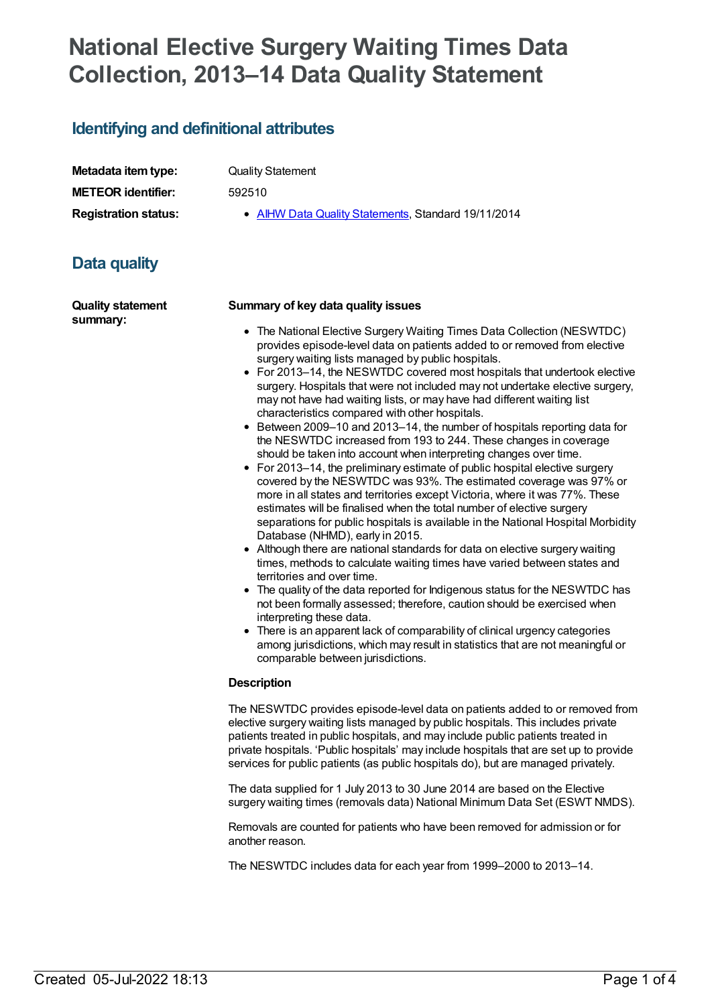# **National Elective Surgery Waiting Times Data Collection, 2013–14 Data Quality Statement**

## **Identifying and definitional attributes**

| Metadata item type:         |
|-----------------------------|
| <b>METEOR identifier:</b>   |
| <b>Registration status:</b> |

**Quality Statement** 

**METEOR identifier:** 592510

**AIHW Data Quality [Statements](https://meteor.aihw.gov.au/RegistrationAuthority/5), Standard 19/11/2014** 

# **Data quality**

**Quality statement summary:**

#### **Summary of key data quality issues**

- The National Elective Surgery Waiting Times Data Collection (NESWTDC) provides episode-level data on patients added to or removed from elective surgery waiting lists managed by public hospitals.
- For 2013–14, the NESWTDC covered most hospitals that undertook elective surgery. Hospitals that were not included may not undertake elective surgery, may not have had waiting lists, or may have had different waiting list characteristics compared with other hospitals.
- Between 2009–10 and 2013–14, the number of hospitals reporting data for the NESWTDC increased from 193 to 244. These changes in coverage should be taken into account when interpreting changes over time.
- For 2013–14, the preliminary estimate of public hospital elective surgery covered by the NESWTDC was 93%. The estimated coverage was 97% or more in all states and territories except Victoria, where it was 77%. These estimates will be finalised when the total number of elective surgery separations for public hospitals is available in the National Hospital Morbidity Database (NHMD), early in 2015.
- Although there are national standards for data on elective surgery waiting times, methods to calculate waiting times have varied between states and territories and over time.
- The quality of the data reported for Indigenous status for the NESWTDC has not been formally assessed; therefore, caution should be exercised when interpreting these data.
- There is an apparent lack of comparability of clinical urgency categories among jurisdictions, which may result in statistics that are not meaningful or comparable between jurisdictions.

#### **Description**

The NESWTDC provides episode-level data on patients added to or removed from elective surgery waiting lists managed by public hospitals. This includes private patients treated in public hospitals, and may include public patients treated in private hospitals. 'Public hospitals' may include hospitals that are set up to provide services for public patients (as public hospitals do), but are managed privately.

The data supplied for 1 July 2013 to 30 June 2014 are based on the Elective surgery waiting times (removals data) National Minimum Data Set (ESWT NMDS).

Removals are counted for patients who have been removed for admission or for another reason.

The NESWTDC includes data for each year from 1999–2000 to 2013–14.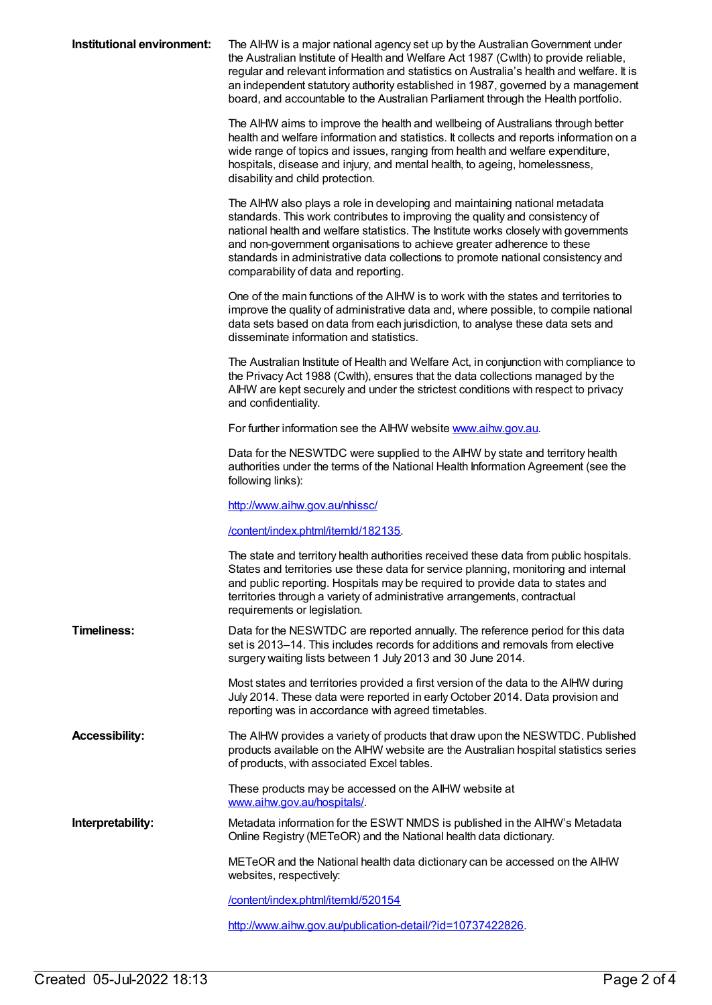| Institutional environment: | The AIHW is a major national agency set up by the Australian Government under<br>the Australian Institute of Health and Welfare Act 1987 (Cwlth) to provide reliable,<br>regular and relevant information and statistics on Australia's health and welfare. It is<br>an independent statutory authority established in 1987, governed by a management<br>board, and accountable to the Australian Parliament through the Health portfolio.               |
|----------------------------|----------------------------------------------------------------------------------------------------------------------------------------------------------------------------------------------------------------------------------------------------------------------------------------------------------------------------------------------------------------------------------------------------------------------------------------------------------|
|                            | The AIHW aims to improve the health and wellbeing of Australians through better<br>health and welfare information and statistics. It collects and reports information on a<br>wide range of topics and issues, ranging from health and welfare expenditure,<br>hospitals, disease and injury, and mental health, to ageing, homelessness,<br>disability and child protection.                                                                            |
|                            | The AIHW also plays a role in developing and maintaining national metadata<br>standards. This work contributes to improving the quality and consistency of<br>national health and welfare statistics. The Institute works closely with governments<br>and non-government organisations to achieve greater adherence to these<br>standards in administrative data collections to promote national consistency and<br>comparability of data and reporting. |
|                            | One of the main functions of the AIHW is to work with the states and territories to<br>improve the quality of administrative data and, where possible, to compile national<br>data sets based on data from each jurisdiction, to analyse these data sets and<br>disseminate information and statistics.                                                                                                                                                  |
|                            | The Australian Institute of Health and Welfare Act, in conjunction with compliance to<br>the Privacy Act 1988 (Cwlth), ensures that the data collections managed by the<br>AIHW are kept securely and under the strictest conditions with respect to privacy<br>and confidentiality.                                                                                                                                                                     |
|                            | For further information see the AIHW website www.aihw.gov.au.                                                                                                                                                                                                                                                                                                                                                                                            |
|                            | Data for the NESWTDC were supplied to the AIHW by state and territory health<br>authorities under the terms of the National Health Information Agreement (see the<br>following links):                                                                                                                                                                                                                                                                   |
|                            | http://www.aihw.gov.au/nhissc/                                                                                                                                                                                                                                                                                                                                                                                                                           |
|                            |                                                                                                                                                                                                                                                                                                                                                                                                                                                          |
|                            | /content/index.phtml/itemld/182135.                                                                                                                                                                                                                                                                                                                                                                                                                      |
|                            | The state and territory health authorities received these data from public hospitals.<br>States and territories use these data for service planning, monitoring and internal<br>and public reporting. Hospitals may be required to provide data to states and<br>territories through a variety of administrative arrangements, contractual<br>requirements or legislation.                                                                               |
| <b>Timeliness:</b>         | Data for the NESWTDC are reported annually. The reference period for this data<br>set is 2013–14. This includes records for additions and removals from elective<br>surgery waiting lists between 1 July 2013 and 30 June 2014.                                                                                                                                                                                                                          |
|                            | Most states and territories provided a first version of the data to the AIHW during<br>July 2014. These data were reported in early October 2014. Data provision and<br>reporting was in accordance with agreed timetables.                                                                                                                                                                                                                              |
| <b>Accessibility:</b>      | The AIHW provides a variety of products that draw upon the NESWTDC. Published<br>products available on the AIHW website are the Australian hospital statistics series<br>of products, with associated Excel tables.                                                                                                                                                                                                                                      |
|                            | These products may be accessed on the AIHW website at                                                                                                                                                                                                                                                                                                                                                                                                    |
| Interpretability:          | www.aihw.gov.au/hospitals/.<br>Metadata information for the ESWT NMDS is published in the AIHW's Metadata<br>Online Registry (METeOR) and the National health data dictionary.                                                                                                                                                                                                                                                                           |
|                            | METeOR and the National health data dictionary can be accessed on the AIHW<br>websites, respectively:                                                                                                                                                                                                                                                                                                                                                    |
|                            | /content/index.phtml/itemld/520154                                                                                                                                                                                                                                                                                                                                                                                                                       |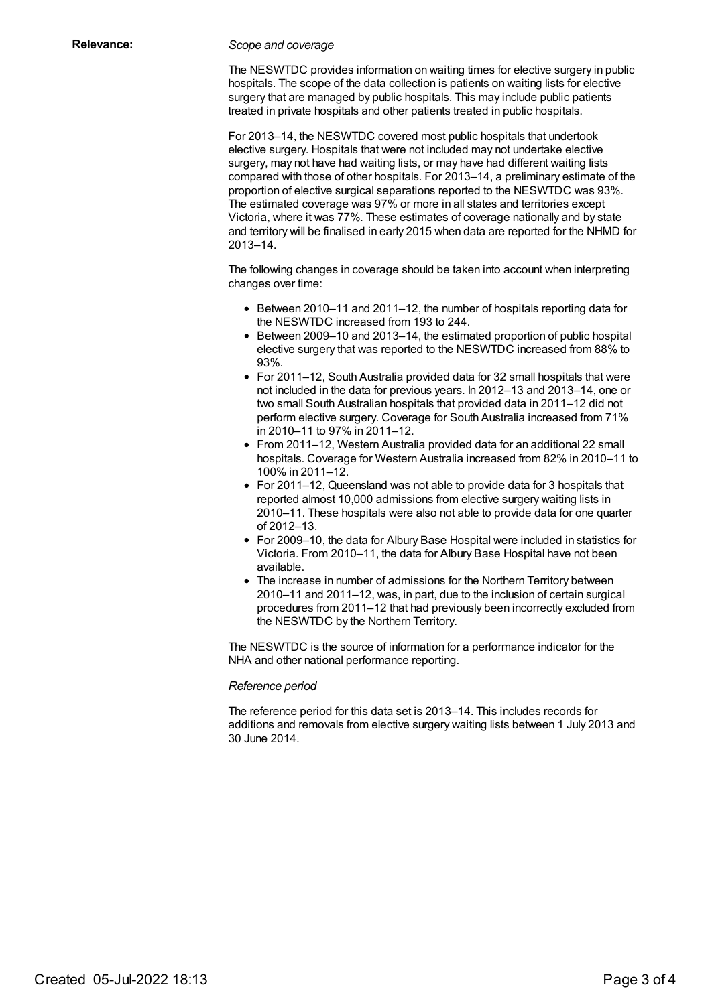#### **Relevance:** *Scope and coverage*

The NESWTDC provides information on waiting times for elective surgery in public hospitals. The scope of the data collection is patients on waiting lists for elective surgery that are managed by public hospitals. This may include public patients treated in private hospitals and other patients treated in public hospitals.

For 2013–14, the NESWTDC covered most public hospitals that undertook elective surgery. Hospitals that were not included may not undertake elective surgery, may not have had waiting lists, or may have had different waiting lists compared with those of other hospitals. For 2013–14, a preliminary estimate of the proportion of elective surgical separations reported to the NESWTDC was 93%. The estimated coverage was 97% or more in all states and territories except Victoria, where it was 77%. These estimates of coverage nationally and by state and territory will be finalised in early 2015 when data are reported for the NHMD for 2013–14.

The following changes in coverage should be taken into account when interpreting changes over time:

- Between 2010–11 and 2011–12, the number of hospitals reporting data for the NESWTDC increased from 193 to 244.
- Between 2009–10 and 2013–14, the estimated proportion of public hospital elective surgery that was reported to the NESWTDC increased from 88% to 93%.
- For 2011–12, South Australia provided data for 32 small hospitals that were not included in the data for previous years. In 2012–13 and 2013–14, one or two small South Australian hospitals that provided data in 2011–12 did not perform elective surgery. Coverage for South Australia increased from 71% in 2010–11 to 97% in 2011–12.
- From 2011–12, Western Australia provided data for an additional 22 small hospitals. Coverage for Western Australia increased from 82% in 2010–11 to 100% in 2011–12.
- For 2011–12, Queensland was not able to provide data for 3 hospitals that reported almost 10,000 admissions from elective surgery waiting lists in 2010–11. These hospitals were also not able to provide data for one quarter of 2012–13.
- For 2009–10, the data for Albury Base Hospital were included in statistics for Victoria. From 2010–11, the data for Albury Base Hospital have not been available.
- The increase in number of admissions for the Northern Territory between 2010–11 and 2011–12, was, in part, due to the inclusion of certain surgical procedures from 2011–12 that had previously been incorrectly excluded from the NESWTDC by the Northern Territory.

The NESWTDC is the source of information for a performance indicator for the NHA and other national performance reporting.

#### *Reference period*

The reference period for this data set is 2013–14. This includes records for additions and removals from elective surgery waiting lists between 1 July 2013 and 30 June 2014.